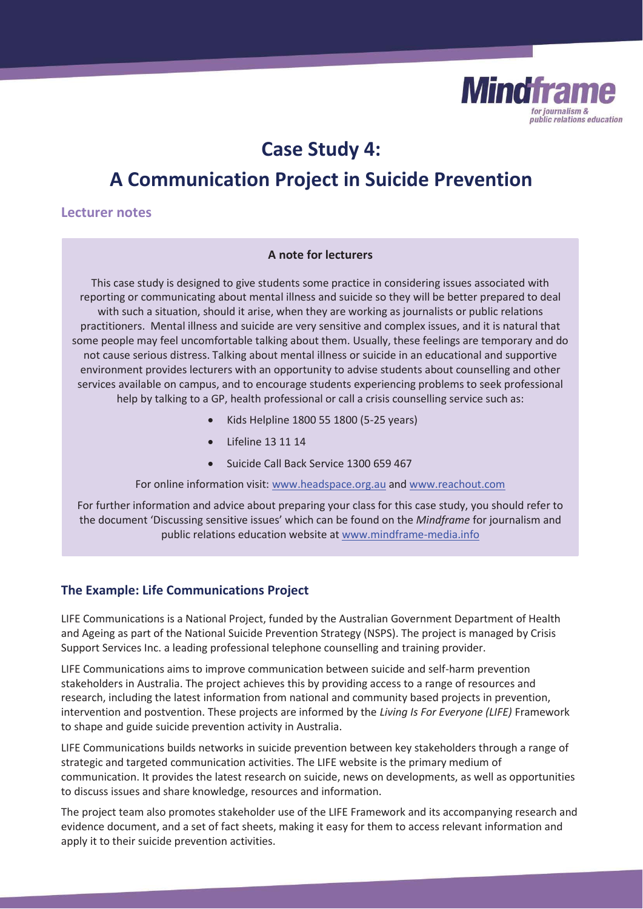

## **Case Study 4:**

## **A Communication Project in Suicide Prevention**

## **Lecturer notes**

#### **A note for lecturers**

This case study is designed to give students some practice in considering issues associated with reporting or communicating about mental illness and suicide so they will be better prepared to deal with such a situation, should it arise, when they are working as journalists or public relations practitioners. Mental illness and suicide are very sensitive and complex issues, and it is natural that some people may feel uncomfortable talking about them. Usually, these feelings are temporary and do not cause serious distress. Talking about mental illness or suicide in an educational and supportive environment provides lecturers with an opportunity to advise students about counselling and other services available on campus, and to encourage students experiencing problems to seek professional help by talking to a GP, health professional or call a crisis counselling service such as:

- x Kids Helpline 1800 55 1800 (5-25 years)
- Lifeline 13 11 14
- Suicide Call Back Service 1300 659 467

For online information visit: www.headspace.org.au and www.reachout.com

For further information and advice about preparing your class for this case study, you should refer to the document 'Discussing sensitive issues' which can be found on the *Mindframe* for journalism and public relations education website at www.mindframe-media.info

## **The Example: Life Communications Project**

LIFE Communications is a National Project, funded by the Australian Government Department of Health and Ageing as part of the National Suicide Prevention Strategy (NSPS). The project is managed by Crisis Support Services Inc. a leading professional telephone counselling and training provider.

LIFE Communications aims to improve communication between suicide and self-harm prevention stakeholders in Australia. The project achieves this by providing access to a range of resources and research, including the latest information from national and community based projects in prevention, intervention and postvention. These projects are informed by the *Living Is For Everyone (LIFE)* Framework to shape and guide suicide prevention activity in Australia.

LIFE Communications builds networks in suicide prevention between key stakeholders through a range of strategic and targeted communication activities. The LIFE website is the primary medium of communication. It provides the latest research on suicide, news on developments, as well as opportunities to discuss issues and share knowledge, resources and information.

The project team also promotes stakeholder use of the LIFE Framework and its accompanying research and evidence document, and a set of fact sheets, making it easy for them to access relevant information and apply it to their suicide prevention activities.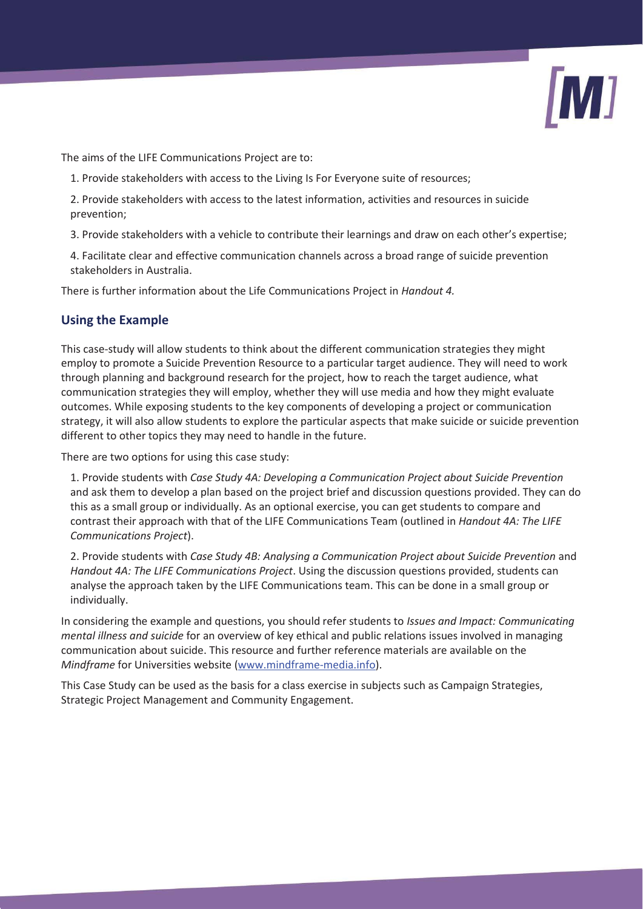

The aims of the LIFE Communications Project are to:

- 1. Provide stakeholders with access to the Living Is For Everyone suite of resources;
- 2. Provide stakeholders with access to the latest information, activities and resources in suicide prevention;
- 3. Provide stakeholders with a vehicle to contribute their learnings and draw on each other's expertise;
- 4. Facilitate clear and effective communication channels across a broad range of suicide prevention stakeholders in Australia.

There is further information about the Life Communications Project in *Handout 4.* 

## **Using the Example**

This case-study will allow students to think about the different communication strategies they might employ to promote a Suicide Prevention Resource to a particular target audience. They will need to work through planning and background research for the project, how to reach the target audience, what communication strategies they will employ, whether they will use media and how they might evaluate outcomes. While exposing students to the key components of developing a project or communication strategy, it will also allow students to explore the particular aspects that make suicide or suicide prevention different to other topics they may need to handle in the future.

There are two options for using this case study:

1. Provide students with *Case Study 4A: Developing a Communication Project about Suicide Prevention*  and ask them to develop a plan based on the project brief and discussion questions provided. They can do this as a small group or individually. As an optional exercise, you can get students to compare and contrast their approach with that of the LIFE Communications Team (outlined in *Handout 4A: The LIFE Communications Project*).

2. Provide students with *Case Study 4B: Analysing a Communication Project about Suicide Prevention* and *Handout 4A: The LIFE Communications Project*. Using the discussion questions provided, students can analyse the approach taken by the LIFE Communications team. This can be done in a small group or individually.

In considering the example and questions, you should refer students to *Issues and Impact: Communicating mental illness and suicide* for an overview of key ethical and public relations issues involved in managing communication about suicide. This resource and further reference materials are available on the *Mindframe* for Universities website (www.mindframe-media.info).

This Case Study can be used as the basis for a class exercise in subjects such as Campaign Strategies, Strategic Project Management and Community Engagement.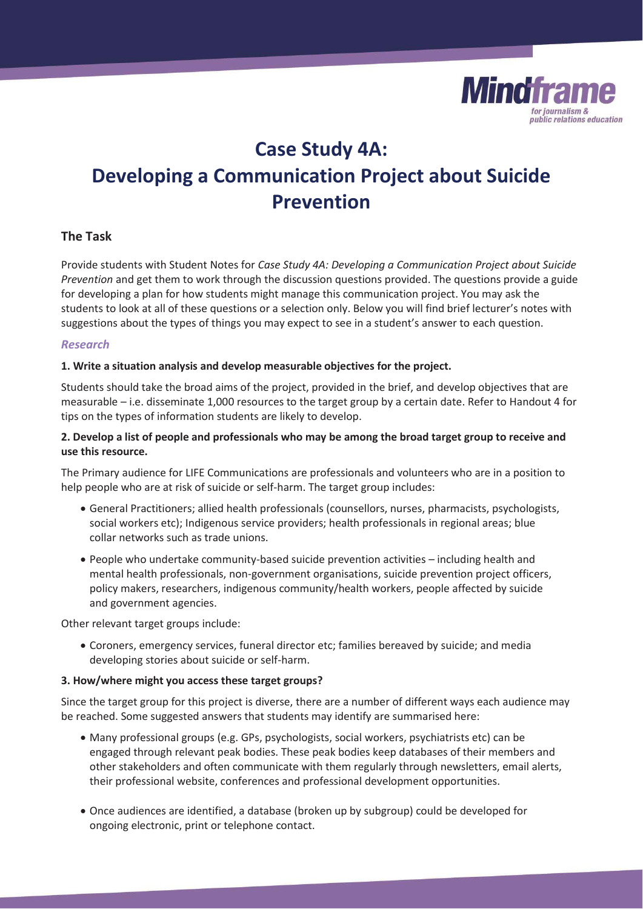

# **Case Study 4A: Developing a Communication Project about Suicide Prevention**

## **The Task**

Provide students with Student Notes for *Case Study 4A: Developing a Communication Project about Suicide Prevention* and get them to work through the discussion questions provided. The questions provide a guide for developing a plan for how students might manage this communication project. You may ask the students to look at all of these questions or a selection only. Below you will find brief lecturer's notes with suggestions about the types of things you may expect to see in a student's answer to each question.

### *Research*

#### **1. Write a situation analysis and develop measurable objectives for the project.**

Students should take the broad aims of the project, provided in the brief, and develop objectives that are measurable – i.e. disseminate 1,000 resources to the target group by a certain date. Refer to Handout 4 for tips on the types of information students are likely to develop.

### **2. Develop a list of people and professionals who may be among the broad target group to receive and use this resource.**

The Primary audience for LIFE Communications are professionals and volunteers who are in a position to help people who are at risk of suicide or self-harm. The target group includes:

- x General Practitioners; allied health professionals (counsellors, nurses, pharmacists, psychologists, social workers etc); Indigenous service providers; health professionals in regional areas; blue collar networks such as trade unions.
- People who undertake community-based suicide prevention activities including health and mental health professionals, non-government organisations, suicide prevention project officers, policy makers, researchers, indigenous community/health workers, people affected by suicide and government agencies.

Other relevant target groups include:

x Coroners, emergency services, funeral director etc; families bereaved by suicide; and media developing stories about suicide or self-harm.

#### **3. How/where might you access these target groups?**

Since the target group for this project is diverse, there are a number of different ways each audience may be reached. Some suggested answers that students may identify are summarised here:

- Many professional groups (e.g. GPs, psychologists, social workers, psychiatrists etc) can be engaged through relevant peak bodies. These peak bodies keep databases of their members and other stakeholders and often communicate with them regularly through newsletters, email alerts, their professional website, conferences and professional development opportunities.
- Once audiences are identified, a database (broken up by subgroup) could be developed for ongoing electronic, print or telephone contact.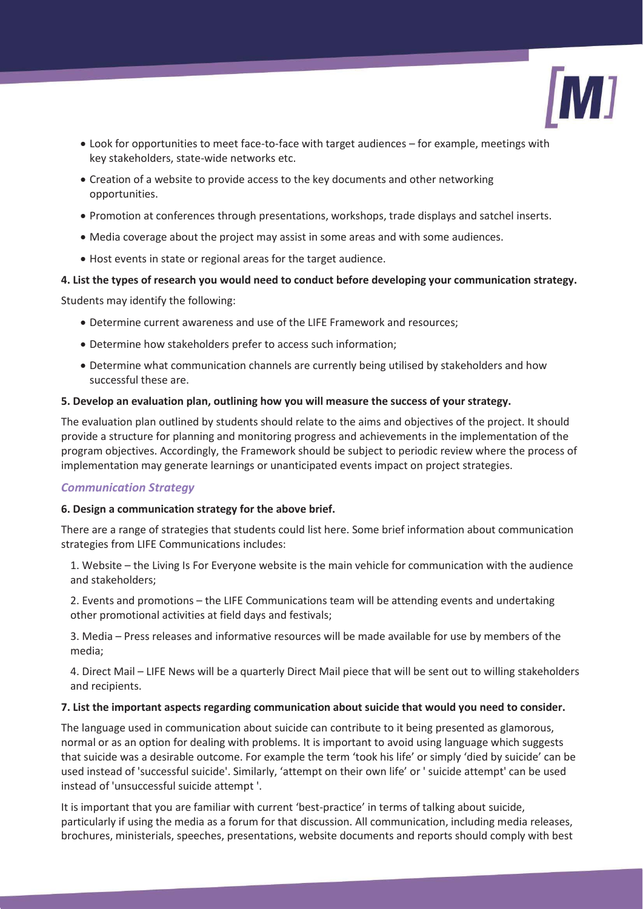![](_page_3_Picture_0.jpeg)

- Look for opportunities to meet face-to-face with target audiences for example, meetings with key stakeholders, state-wide networks etc.
- Creation of a website to provide access to the key documents and other networking opportunities.
- Promotion at conferences through presentations, workshops, trade displays and satchel inserts.
- Media coverage about the project may assist in some areas and with some audiences.
- Host events in state or regional areas for the target audience.

### **4. List the types of research you would need to conduct before developing your communication strategy.**

Students may identify the following:

- Determine current awareness and use of the LIFE Framework and resources;
- Determine how stakeholders prefer to access such information;
- Determine what communication channels are currently being utilised by stakeholders and how successful these are.

#### **5. Develop an evaluation plan, outlining how you will measure the success of your strategy.**

The evaluation plan outlined by students should relate to the aims and objectives of the project. It should provide a structure for planning and monitoring progress and achievements in the implementation of the program objectives. Accordingly, the Framework should be subject to periodic review where the process of implementation may generate learnings or unanticipated events impact on project strategies.

## *Communication Strategy*

## **6. Design a communication strategy for the above brief.**

There are a range of strategies that students could list here. Some brief information about communication strategies from LIFE Communications includes:

1. Website – the Living Is For Everyone website is the main vehicle for communication with the audience and stakeholders;

2. Events and promotions – the LIFE Communications team will be attending events and undertaking other promotional activities at field days and festivals;

3. Media – Press releases and informative resources will be made available for use by members of the media;

4. Direct Mail – LIFE News will be a quarterly Direct Mail piece that will be sent out to willing stakeholders and recipients.

#### **7. List the important aspects regarding communication about suicide that would you need to consider.**

The language used in communication about suicide can contribute to it being presented as glamorous, normal or as an option for dealing with problems. It is important to avoid using language which suggests that suicide was a desirable outcome. For example the term 'took his life' or simply 'died by suicide' can be used instead of 'successful suicide'. Similarly, 'attempt on their own life' or ' suicide attempt' can be used instead of 'unsuccessful suicide attempt '.

It is important that you are familiar with current 'best-practice' in terms of talking about suicide, particularly if using the media as a forum for that discussion. All communication, including media releases, brochures, ministerials, speeches, presentations, website documents and reports should comply with best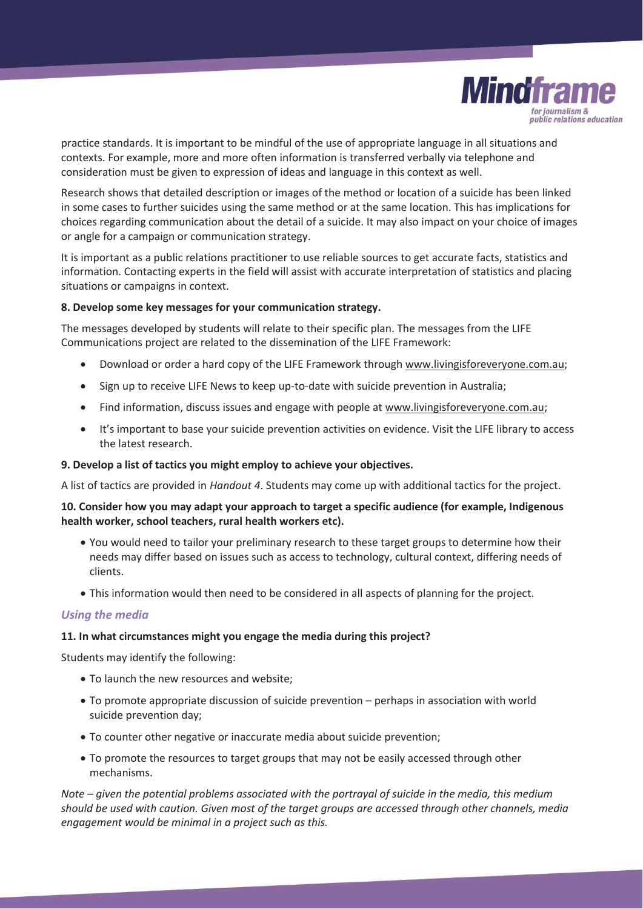![](_page_4_Picture_0.jpeg)

practice standards. It is important to be mindful of the use of appropriate language in all situations and contexts. For example, more and more often information is transferred verbally via telephone and consideration must be given to expression of ideas and language in this context as well.

Research shows that detailed description or images of the method or location of a suicide has been linked in some cases to further suicides using the same method or at the same location. This has implications for choices regarding communication about the detail of a suicide. It may also impact on your choice of images or angle for a campaign or communication strategy.

It is important as a public relations practitioner to use reliable sources to get accurate facts, statistics and information. Contacting experts in the field will assist with accurate interpretation of statistics and placing situations or campaigns in context.

#### **8. Develop some key messages for your communication strategy.**

The messages developed by students will relate to their specific plan. The messages from the LIFE Communications project are related to the dissemination of the LIFE Framework:

- Download or order a hard copy of the LIFE Framework through www.livingisforeveryone.com.au;
- Sign up to receive LIFE News to keep up-to-date with suicide prevention in Australia;
- Find information, discuss issues and engage with people at www.livingisforeveryone.com.au;
- It's important to base your suicide prevention activities on evidence. Visit the LIFE library to access the latest research.

#### **9. Develop a list of tactics you might employ to achieve your objectives.**

A list of tactics are provided in *Handout 4*. Students may come up with additional tactics for the project.

#### **10. Consider how you may adapt your approach to target a specific audience (for example, Indigenous health worker, school teachers, rural health workers etc).**

- You would need to tailor your preliminary research to these target groups to determine how their needs may differ based on issues such as access to technology, cultural context, differing needs of clients.
- This information would then need to be considered in all aspects of planning for the project.

#### *Using the media*

#### **11. In what circumstances might you engage the media during this project?**

Students may identify the following:

- To launch the new resources and website;
- To promote appropriate discussion of suicide prevention perhaps in association with world suicide prevention day;
- To counter other negative or inaccurate media about suicide prevention;
- To promote the resources to target groups that may not be easily accessed through other mechanisms.

*Note – given the potential problems associated with the portrayal of suicide in the media, this medium should be used with caution. Given most of the target groups are accessed through other channels, media engagement would be minimal in a project such as this.*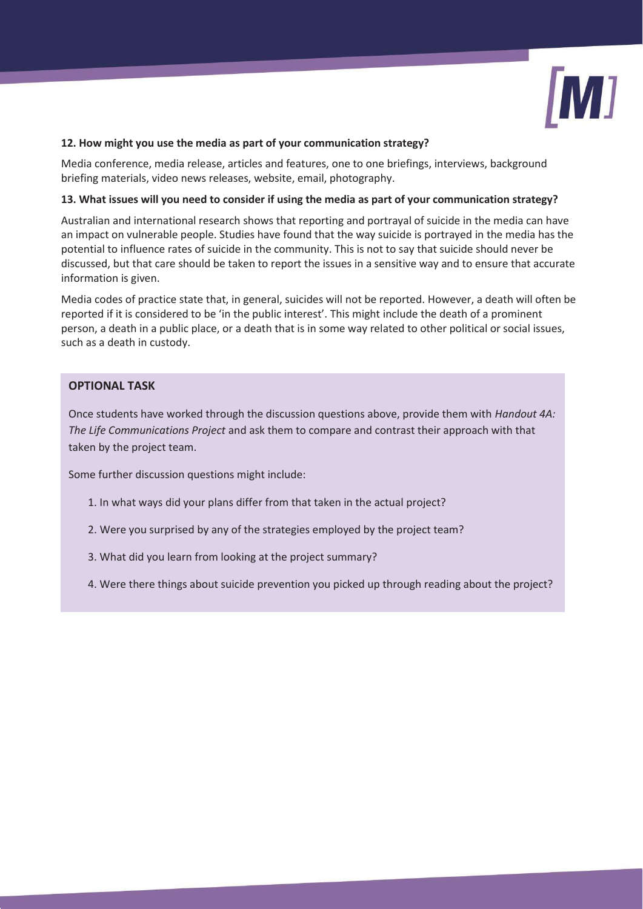![](_page_5_Picture_0.jpeg)

#### **12. How might you use the media as part of your communication strategy?**

Media conference, media release, articles and features, one to one briefings, interviews, background briefing materials, video news releases, website, email, photography.

#### **13. What issues will you need to consider if using the media as part of your communication strategy?**

Australian and international research shows that reporting and portrayal of suicide in the media can have an impact on vulnerable people. Studies have found that the way suicide is portrayed in the media has the potential to influence rates of suicide in the community. This is not to say that suicide should never be discussed, but that care should be taken to report the issues in a sensitive way and to ensure that accurate information is given.

Media codes of practice state that, in general, suicides will not be reported. However, a death will often be reported if it is considered to be 'in the public interest'. This might include the death of a prominent person, a death in a public place, or a death that is in some way related to other political or social issues, such as a death in custody.

## **OPTIONAL TASK**

Once students have worked through the discussion questions above, provide them with *Handout 4A: The Life Communications Project* and ask them to compare and contrast their approach with that taken by the project team.

Some further discussion questions might include:

- 1. In what ways did your plans differ from that taken in the actual project?
- 2. Were you surprised by any of the strategies employed by the project team?
- 3. What did you learn from looking at the project summary?
- 4. Were there things about suicide prevention you picked up through reading about the project?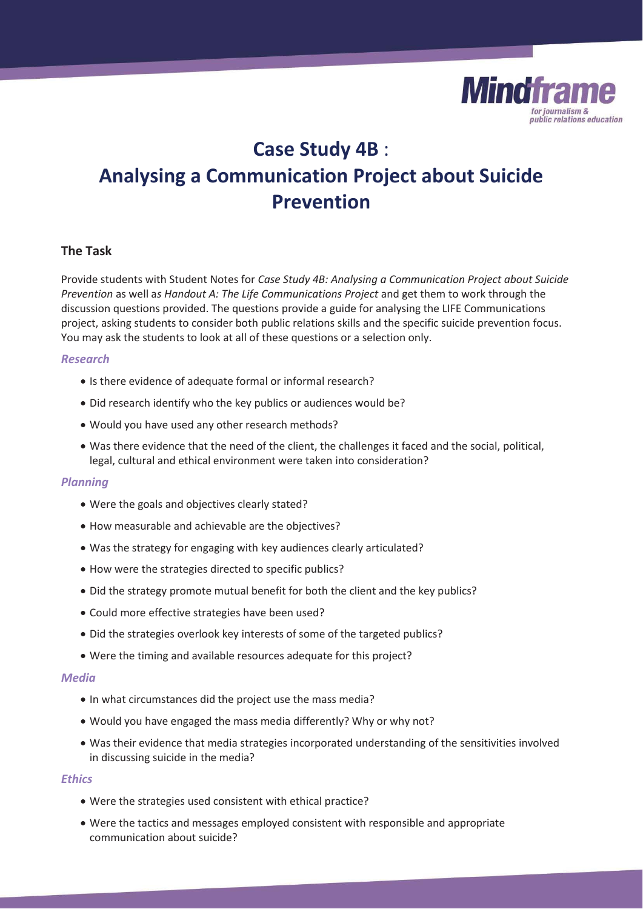![](_page_6_Picture_0.jpeg)

# **Case Study 4B** : **Analysing a Communication Project about Suicide Prevention**

## **The Task**

Provide students with Student Notes for *Case Study 4B: Analysing a Communication Project about Suicide Prevention* as well a*s Handout A: The Life Communications Project* and get them to work through the discussion questions provided. The questions provide a guide for analysing the LIFE Communications project, asking students to consider both public relations skills and the specific suicide prevention focus. You may ask the students to look at all of these questions or a selection only.

#### *Research*

- Is there evidence of adequate formal or informal research?
- Did research identify who the key publics or audiences would be?
- Would you have used any other research methods?
- Was there evidence that the need of the client, the challenges it faced and the social, political, legal, cultural and ethical environment were taken into consideration?

#### *Planning*

- Were the goals and objectives clearly stated?
- How measurable and achievable are the objectives?
- Was the strategy for engaging with key audiences clearly articulated?
- How were the strategies directed to specific publics?
- Did the strategy promote mutual benefit for both the client and the key publics?
- Could more effective strategies have been used?
- Did the strategies overlook key interests of some of the targeted publics?
- Were the timing and available resources adequate for this project?

#### *Media*

- In what circumstances did the project use the mass media?
- Would you have engaged the mass media differently? Why or why not?
- Was their evidence that media strategies incorporated understanding of the sensitivities involved in discussing suicide in the media?

#### *Ethics*

- Were the strategies used consistent with ethical practice?
- Were the tactics and messages employed consistent with responsible and appropriate communication about suicide?